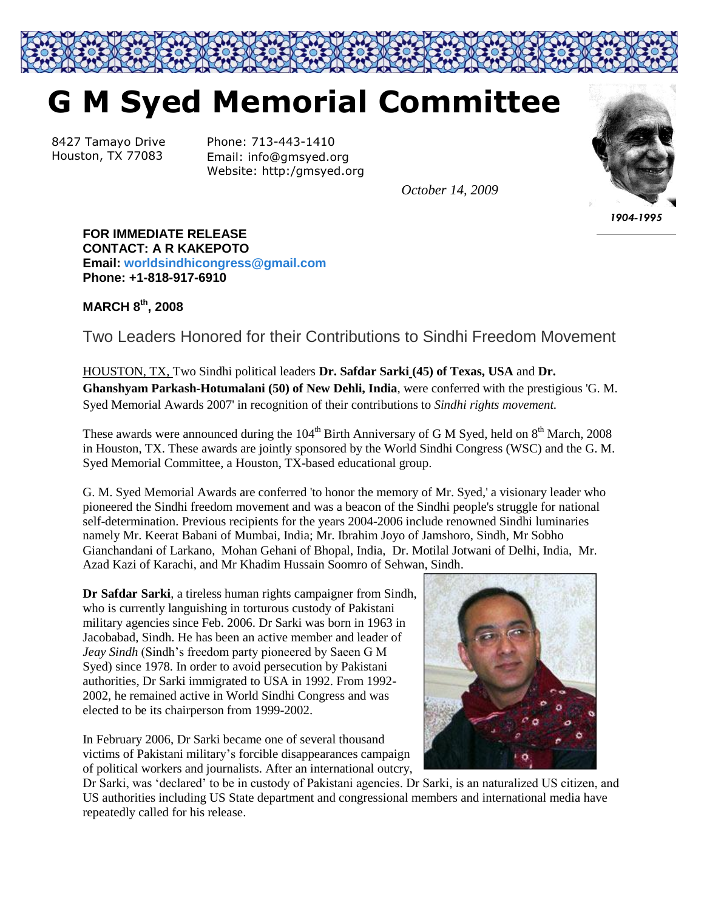

## **G M Syed Memorial Committee**

8427 Tamayo Drive Houston, TX 77083

Phone: 713-443-1410 Email: info@gmsyed.org Website: http:/gmsyed.org

*October 14, 2009*



*1904-1995*

**FOR IMMEDIATE RELEASE CONTACT: A R KAKEPOTO Email: [worldsindhicongress@gmail.com](mailto:worldsindhicongress@gmail.com) Phone: +1-818-917-6910**

## **MARCH 8 th, 2008**

Two Leaders Honored for their Contributions to Sindhi Freedom Movement

HOUSTON, TX, Two Sindhi political leaders **Dr. Safdar Sarki (45) of Texas, USA** and **Dr. Ghanshyam Parkash-Hotumalani (50) of New Dehli, India**, were conferred with the prestigious 'G. M. Syed Memorial Awards 2007' in recognition of their contributions to *Sindhi rights movement.*

These awards were announced during the  $104<sup>th</sup>$  Birth Anniversary of G M Syed, held on  $8<sup>th</sup>$  March, 2008 in Houston, TX. These awards are jointly sponsored by the World Sindhi Congress (WSC) and the G. M. Syed Memorial Committee, a Houston, TX-based educational group.

G. M. Syed Memorial Awards are conferred 'to honor the memory of Mr. Syed,' a visionary leader who pioneered the Sindhi freedom movement and was a beacon of the Sindhi people's struggle for national self-determination. Previous recipients for the years 2004-2006 include renowned Sindhi luminaries namely Mr. Keerat Babani of Mumbai, India; Mr. Ibrahim Joyo of Jamshoro, Sindh, Mr Sobho Gianchandani of Larkano, Mohan Gehani of Bhopal, India, Dr. Motilal Jotwani of Delhi, India, Mr. Azad Kazi of Karachi, and Mr Khadim Hussain Soomro of Sehwan, Sindh.

**Dr Safdar Sarki**, a tireless human rights campaigner from Sindh, who is currently languishing in torturous custody of Pakistani military agencies since Feb. 2006. Dr Sarki was born in 1963 in Jacobabad, Sindh. He has been an active member and leader of *Jeay Sindh* (Sindh"s freedom party pioneered by Saeen G M Syed) since 1978. In order to avoid persecution by Pakistani authorities, Dr Sarki immigrated to USA in 1992. From 1992- 2002, he remained active in World Sindhi Congress and was elected to be its chairperson from 1999-2002.

In February 2006, Dr Sarki became one of several thousand victims of Pakistani military"s forcible disappearances campaign of political workers and journalists. After an international outcry,



Dr Sarki, was "declared" to be in custody of Pakistani agencies. Dr Sarki, is an naturalized US citizen, and US authorities including US State department and congressional members and international media have repeatedly called for his release.